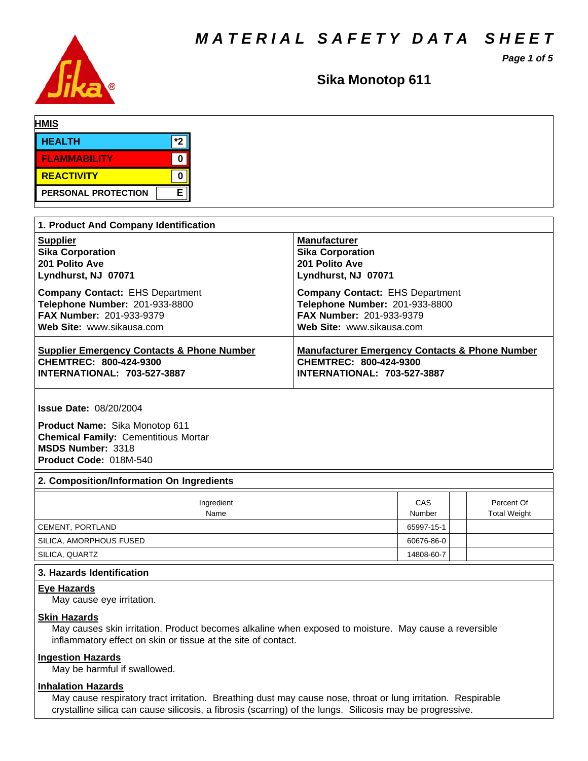*MATERIAL SAFETY DATA SHEET*

*Page 1 of 5*



**Sika Monotop 611**

| <b>HMIS</b>         |     |  |  |  |
|---------------------|-----|--|--|--|
| <b>HEALTH</b>       | $*$ |  |  |  |
| <b>FLAMMABILITY</b> |     |  |  |  |
| <b>REACTIVITY</b>   | u   |  |  |  |
| PERSONAL PROTECTION | Е   |  |  |  |

| 1. Product And Company Identification                 |                                                           |  |  |  |  |
|-------------------------------------------------------|-----------------------------------------------------------|--|--|--|--|
| <b>Supplier</b>                                       | <b>Manufacturer</b>                                       |  |  |  |  |
| <b>Sika Corporation</b>                               | <b>Sika Corporation</b>                                   |  |  |  |  |
| 201 Polito Ave                                        | 201 Polito Ave                                            |  |  |  |  |
| Lyndhurst, NJ 07071                                   | Lyndhurst, NJ 07071                                       |  |  |  |  |
| <b>Company Contact: EHS Department</b>                | <b>Company Contact: EHS Department</b>                    |  |  |  |  |
| Telephone Number: 201-933-8800                        | Telephone Number: 201-933-8800                            |  |  |  |  |
| <b>FAX Number: 201-933-9379</b>                       | FAX Number: 201-933-9379                                  |  |  |  |  |
| Web Site: www.sikausa.com                             | Web Site: www.sikausa.com                                 |  |  |  |  |
| <b>Supplier Emergency Contacts &amp; Phone Number</b> | <b>Manufacturer Emergency Contacts &amp; Phone Number</b> |  |  |  |  |
| CHEMTREC: 800-424-9300                                | CHEMTREC: 800-424-9300                                    |  |  |  |  |
| <b>INTERNATIONAL: 703-527-3887</b>                    | <b>INTERNATIONAL: 703-527-3887</b>                        |  |  |  |  |

**Issue Date:** 08/20/2004

**Product Name:** Sika Monotop 611 **Chemical Family:** Cementitious Mortar **MSDS Number:** 3318 **Product Code:** 018M-540

#### **2. Composition/Information On Ingredients**

| Ingredient<br>Name      | CAS<br>Number | Percent Of<br><b>Total Weight</b> |
|-------------------------|---------------|-----------------------------------|
| CEMENT, PORTLAND        | 65997-15-1    |                                   |
| SILICA, AMORPHOUS FUSED | 60676-86-0    |                                   |
| SILICA, QUARTZ          | 14808-60-7    |                                   |

# **3. Hazards Identification**

#### **Eye Hazards**

May cause eye irritation.

# **Skin Hazards**

May causes skin irritation. Product becomes alkaline when exposed to moisture. May cause a reversible inflammatory effect on skin or tissue at the site of contact.

# **Ingestion Hazards**

May be harmful if swallowed.

# **Inhalation Hazards**

May cause respiratory tract irritation. Breathing dust may cause nose, throat or lung irritation. Respirable crystalline silica can cause silicosis, a fibrosis (scarring) of the lungs. Silicosis may be progressive.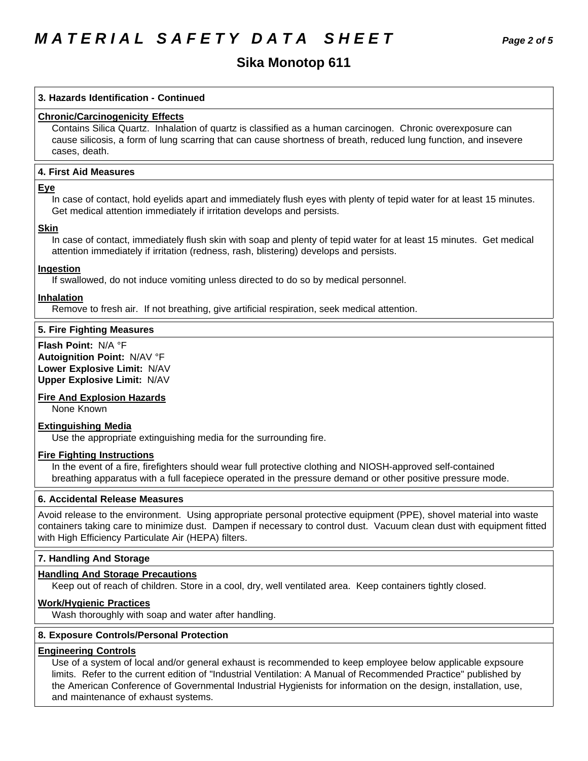# **Sika Monotop 611**

# **3. Hazards Identification - Continued**

# **Chronic/Carcinogenicity Effects**

Contains Silica Quartz. Inhalation of quartz is classified as a human carcinogen. Chronic overexposure can cause silicosis, a form of lung scarring that can cause shortness of breath, reduced lung function, and insevere cases, death.

# **4.First AidMeasures**

# **Eye**

In case of contact, hold eyelids apart and immediately flush eyes with plenty of tepid water for at least 15 minutes. Get medical attention immediately if irritation develops and persists.

#### **Skin**

In case of contact, immediately flush skin with soap and plenty of tepid water for at least 15 minutes. Get medical attention immediately if irritation (redness, rash, blistering) develops and persists.

### **Ingestion**

If swallowed, do not induce vomiting unless directed to do so by medical personnel.

### **Inhalation**

Remove to fresh air. If not breathing, give artificial respiration, seek medical attention.

# **5. Fire Fighting Measures**

**Flash Point:** N/A°F **Autoignition Point:** N/AV°F **Lower Explosive Limit:** N/AV **Upper Explosive Limit:** N/AV

# **Fire And Explosion Hazards**

None Known

#### **Extinguishing Media**

Use the appropriate extinguishing media for the surrounding fire.

#### **Fire Fighting Instructions**

In the event of a fire, firefighters should wear full protective clothing and NIOSH-approved self-contained breathing apparatus with a full facepiece operated in the pressure demand or other positive pressure mode.

# **6. Accidental Release Measures**

Avoid release to the environment. Using appropriate personal protective equipment (PPE), shovel material into waste containers taking care to minimize dust. Dampen if necessary to control dust. Vacuum clean dust with equipment fitted with High Efficiency Particulate Air (HEPA) filters.

# **7. Handling And Storage**

#### **Handling And Storage Precautions**

Keep out of reach of children. Store in a cool, dry, well ventilated area. Keep containers tightly closed.

# **Work/Hygienic Practices**

Wash thoroughly with soap and water after handling.

# **8. Exposure Controls/Personal Protection**

#### **Engineering Controls**

Use of a system of local and/or general exhaust is recommended to keep employee below applicable expsoure limits. Refer to the current edition of "Industrial Ventilation: A Manual of Recommended Practice" published by the American Conference of Governmental Industrial Hygienists for information on the design, installation, use, and maintenance of exhaust systems.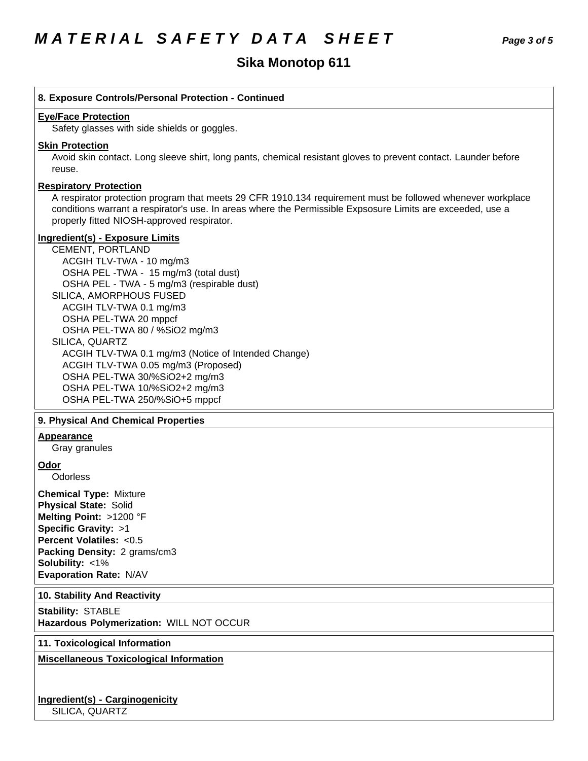# **Sika Monotop 611**

# **8. Exposure Controls/Personal Protection - Continued**

#### **Eye/Face Protection**

Safety glasses with side shields or goggles.

#### **Skin Protection**

Avoid skin contact. Long sleeve shirt, long pants, chemical resistant gloves to prevent contact. Launder before reuse.

#### **Respiratory Protection**

A respirator protection program that meets 29 CFR 1910.134 requirement must be followed whenever workplace conditions warrant a respirator's use. In areas where the Permissible Expsosure Limits are exceeded, use a properly fitted NIOSH-approved respirator.

# **Ingredient(s) - Exposure Limits**

CEMENT, PORTLAND ACGIHTLV-TWA-10 mg/m3 OSHA PEL-TWA - 15 mg/m3 (total dust) OSHA PEL - TWA - 5 mg/m3 (respirable dust) SILICA, AMORPHOUS FUSED ACGIH TLV-TWA 0.1 mg/m3 OSHA PEL-TWA 20 mppcf OSHA PEL-TWA 80 / %SiO2 mg/m3 SILICA, QUARTZ ACGIH TLV-TWA 0.1 mg/m3 (Notice of Intended Change) ACGIH TLV-TWA 0.05 mg/m3 (Proposed) OSHA PEL-TWA 30/%SiO2+2 mg/m3 OSHA PEL-TWA 10/%SiO2+2 mg/m3 OSHA PEL-TWA 250/%SiO+5 mppcf

#### **9. PhysicalAnd Chemical Properties**

# **Appearance**

Gray granules

#### **Odor**

**Odorless** 

**Chemical Type:** Mixture **Physical State:** Solid **Melting Point:** >1200 °F **Specific Gravity:** >1 **Percent Volatiles:** <0.5 **Packing Density:** 2 grams/cm3 **Solubility: <1% Evaporation Rate:** N/AV

#### **10. Stability And Reactivity**

**Stability: STABLE Hazardous Polymerization:** WILL NOT OCCUR

# **11. Toxicological Information**

**Miscellaneous Toxicological Information**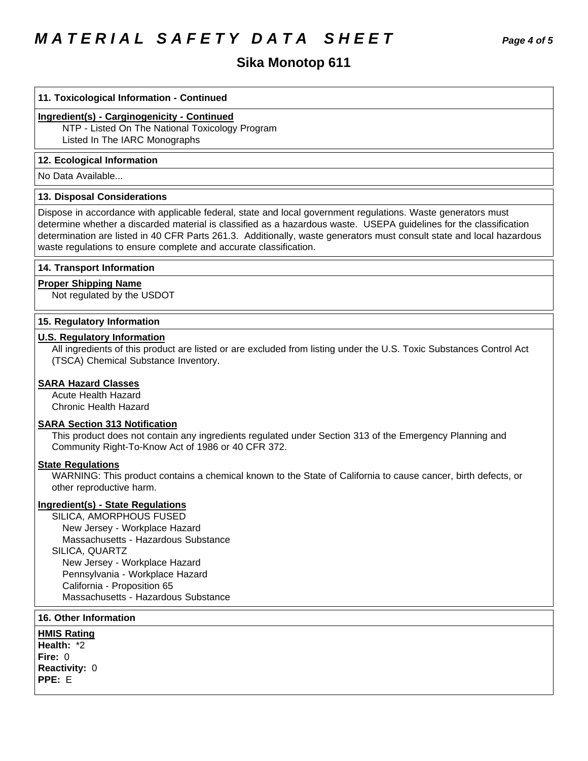# **MATERIAL SAFETY DATA SHEET**

# Sika Monotop 611

#### 11. Toxicological Information - Continued

# Ingredient(s) - Carginogenicity - Continued

NTP - Listed On The National Toxicology Program Listed In The IARC Monographs

#### 12. Ecological Information

No Data Available...

#### **13. Disposal Considerations**

Dispose in accordance with applicable federal, state and local government regulations. Waste generators must determine whether a discarded material is classified as a hazardous waste. USEPA guidelines for the classification determination are listed in 40 CFR Parts 261.3. Additionally, waste generators must consult state and local hazardous waste regulations to ensure complete and accurate classification.

#### 14. Transport Information

#### **Proper Shipping Name**

Not regulated by the USDOT

# 15. Regulatory Information

### **U.S. Regulatory Information**

All ingredients of this product are listed or are excluded from listing under the U.S. Toxic Substances Control Act (TSCA) Chemical Substance Inventory.

# **SARA Hazard Classes**

**Acute Health Hazard** Chronic Health Hazard

#### **SARA Section 313 Notification**

This product does not contain any ingredients regulated under Section 313 of the Emergency Planning and Community Right-To-Know Act of 1986 or 40 CFR 372.

# **State Regulations**

WARNING: This product contains a chemical known to the State of California to cause cancer, birth defects, or other reproductive harm.

#### **Ingredient(s) - State Regulations**

SILICA, AMORPHOUS FUSED New Jersey - Workplace Hazard Massachusetts - Hazardous Substance SILICA, QUARTZ New Jersey - Workplace Hazard Pennsylvania - Workplace Hazard California - Proposition 65 Massachusetts - Hazardous Substance

# **16. Other Information**

**HMIS Rating** Health: \*2 Fire:  $0$ Reactivity: 0 PPE: E